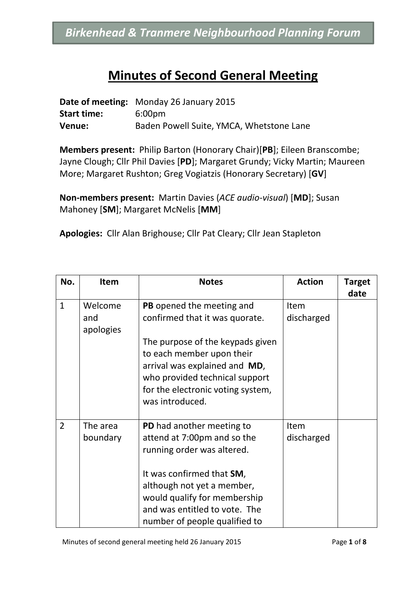#### **Minutes of Second General Meeting**

|                    | <b>Date of meeting:</b> Monday 26 January 2015 |
|--------------------|------------------------------------------------|
| <b>Start time:</b> | 6:00 <sub>pm</sub>                             |
| Venue:             | Baden Powell Suite, YMCA, Whetstone Lane       |

**Members present:** Philip Barton (Honorary Chair)[**PB**]; Eileen Branscombe; Jayne Clough; Cllr Phil Davies [**PD**]; Margaret Grundy; Vicky Martin; Maureen More; Margaret Rushton; Greg Vogiatzis (Honorary Secretary) [**GV**]

**Non-members present:** Martin Davies (*ACE audio-visual*) [**MD**]; Susan Mahoney [**SM**]; Margaret McNelis [**MM**]

**Apologies:** Cllr Alan Brighouse; Cllr Pat Cleary; Cllr Jean Stapleton

| No.            | <b>Item</b>                 | <b>Notes</b>                                                                                                                                                                                                                                               | <b>Action</b>      | <b>Target</b><br>date |
|----------------|-----------------------------|------------------------------------------------------------------------------------------------------------------------------------------------------------------------------------------------------------------------------------------------------------|--------------------|-----------------------|
| $\mathbf{1}$   | Welcome<br>and<br>apologies | PB opened the meeting and<br>confirmed that it was quorate.<br>The purpose of the keypads given<br>to each member upon their<br>arrival was explained and MD,<br>who provided technical support<br>for the electronic voting system,<br>was introduced.    | Item<br>discharged |                       |
| $\overline{2}$ | The area<br>boundary        | <b>PD</b> had another meeting to<br>attend at 7:00pm and so the<br>running order was altered.<br>It was confirmed that SM,<br>although not yet a member,<br>would qualify for membership<br>and was entitled to vote. The<br>number of people qualified to | Item<br>discharged |                       |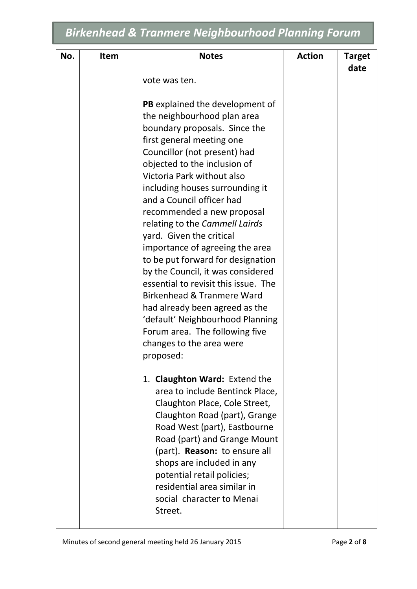| No. | <b>Item</b> | <b>Notes</b>                                                                                                                                                                                                                                                                                                                                                                                                                                                                                                                                                                                                                                           | <b>Action</b> | <b>Target</b><br>date |
|-----|-------------|--------------------------------------------------------------------------------------------------------------------------------------------------------------------------------------------------------------------------------------------------------------------------------------------------------------------------------------------------------------------------------------------------------------------------------------------------------------------------------------------------------------------------------------------------------------------------------------------------------------------------------------------------------|---------------|-----------------------|
|     |             | vote was ten.                                                                                                                                                                                                                                                                                                                                                                                                                                                                                                                                                                                                                                          |               |                       |
|     |             | <b>PB</b> explained the development of<br>the neighbourhood plan area<br>boundary proposals. Since the<br>first general meeting one<br>Councillor (not present) had<br>objected to the inclusion of<br>Victoria Park without also<br>including houses surrounding it<br>and a Council officer had<br>recommended a new proposal<br>relating to the Cammell Lairds<br>yard. Given the critical<br>importance of agreeing the area<br>to be put forward for designation<br>by the Council, it was considered<br>essential to revisit this issue. The<br>Birkenhead & Tranmere Ward<br>had already been agreed as the<br>'default' Neighbourhood Planning |               |                       |
|     |             | Forum area. The following five<br>changes to the area were<br>proposed:<br>1. Claughton Ward: Extend the<br>area to include Bentinck Place,<br>Claughton Place, Cole Street,<br>Claughton Road (part), Grange<br>Road West (part), Eastbourne<br>Road (part) and Grange Mount<br>(part). Reason: to ensure all<br>shops are included in any<br>potential retail policies;<br>residential area similar in<br>social character to Menai<br>Street.                                                                                                                                                                                                       |               |                       |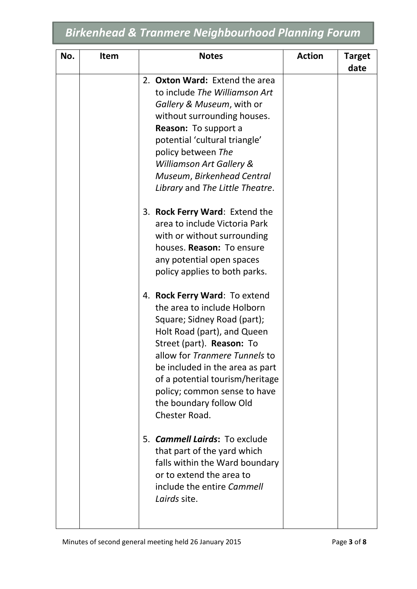| No. | <b>Item</b> | <b>Notes</b>                                                                                                                                                                                                                                                                                                                               | <b>Action</b> | <b>Target</b><br>date |
|-----|-------------|--------------------------------------------------------------------------------------------------------------------------------------------------------------------------------------------------------------------------------------------------------------------------------------------------------------------------------------------|---------------|-----------------------|
|     |             | 2. Oxton Ward: Extend the area<br>to include The Williamson Art<br>Gallery & Museum, with or<br>without surrounding houses.<br>Reason: To support a<br>potential 'cultural triangle'<br>policy between The<br>Williamson Art Gallery &<br>Museum, Birkenhead Central<br>Library and The Little Theatre.                                    |               |                       |
|     |             | 3. Rock Ferry Ward: Extend the<br>area to include Victoria Park<br>with or without surrounding<br>houses. Reason: To ensure<br>any potential open spaces<br>policy applies to both parks.                                                                                                                                                  |               |                       |
|     |             | 4. Rock Ferry Ward: To extend<br>the area to include Holborn<br>Square; Sidney Road (part);<br>Holt Road (part), and Queen<br>Street (part). Reason: To<br>allow for Tranmere Tunnels to<br>be included in the area as part<br>of a potential tourism/heritage<br>policy; common sense to have<br>the boundary follow Old<br>Chester Road. |               |                       |
|     |             | 5. <b>Cammell Lairds:</b> To exclude<br>that part of the yard which<br>falls within the Ward boundary<br>or to extend the area to<br>include the entire Cammell<br>Lairds site.                                                                                                                                                            |               |                       |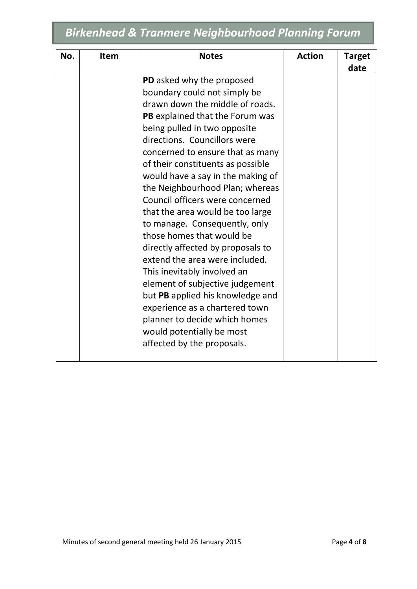| No. | <b>Item</b> | <b>Notes</b>                      | <b>Action</b> | <b>Target</b> |
|-----|-------------|-----------------------------------|---------------|---------------|
|     |             |                                   |               | date          |
|     |             | PD asked why the proposed         |               |               |
|     |             | boundary could not simply be      |               |               |
|     |             | drawn down the middle of roads.   |               |               |
|     |             | PB explained that the Forum was   |               |               |
|     |             | being pulled in two opposite      |               |               |
|     |             | directions. Councillors were      |               |               |
|     |             | concerned to ensure that as many  |               |               |
|     |             | of their constituents as possible |               |               |
|     |             | would have a say in the making of |               |               |
|     |             | the Neighbourhood Plan; whereas   |               |               |
|     |             | Council officers were concerned   |               |               |
|     |             | that the area would be too large  |               |               |
|     |             | to manage. Consequently, only     |               |               |
|     |             | those homes that would be         |               |               |
|     |             | directly affected by proposals to |               |               |
|     |             | extend the area were included.    |               |               |
|     |             | This inevitably involved an       |               |               |
|     |             | element of subjective judgement   |               |               |
|     |             | but PB applied his knowledge and  |               |               |
|     |             | experience as a chartered town    |               |               |
|     |             | planner to decide which homes     |               |               |
|     |             | would potentially be most         |               |               |
|     |             | affected by the proposals.        |               |               |
|     |             |                                   |               |               |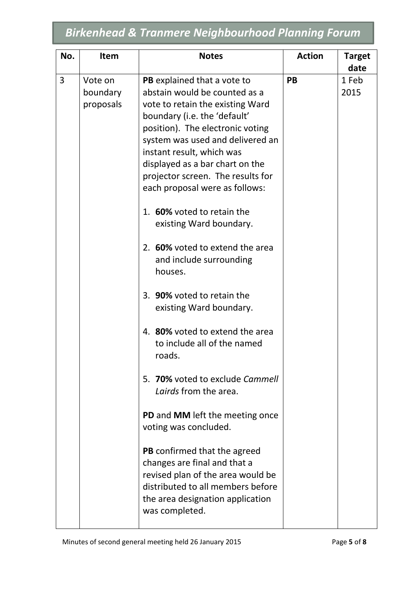| No. | <b>Item</b>                      | <b>Notes</b>                                                                                                                                                                                                                                                                                                                                                                                                                                                                                                                                                                                                                                                                                                                                                                                                                                                                                                                                          | <b>Action</b> | <b>Target</b>         |
|-----|----------------------------------|-------------------------------------------------------------------------------------------------------------------------------------------------------------------------------------------------------------------------------------------------------------------------------------------------------------------------------------------------------------------------------------------------------------------------------------------------------------------------------------------------------------------------------------------------------------------------------------------------------------------------------------------------------------------------------------------------------------------------------------------------------------------------------------------------------------------------------------------------------------------------------------------------------------------------------------------------------|---------------|-----------------------|
| 3   | Vote on<br>boundary<br>proposals | PB explained that a vote to<br>abstain would be counted as a<br>vote to retain the existing Ward<br>boundary (i.e. the 'default'<br>position). The electronic voting<br>system was used and delivered an<br>instant result, which was<br>displayed as a bar chart on the<br>projector screen. The results for<br>each proposal were as follows:<br>1. 60% voted to retain the<br>existing Ward boundary.<br>2. 60% voted to extend the area<br>and include surrounding<br>houses.<br>3. 90% voted to retain the<br>existing Ward boundary.<br>4. 80% voted to extend the area<br>to include all of the named<br>roads.<br>5. 70% voted to exclude Cammell<br>Lairds from the area.<br>PD and MM left the meeting once<br>voting was concluded.<br><b>PB</b> confirmed that the agreed<br>changes are final and that a<br>revised plan of the area would be<br>distributed to all members before<br>the area designation application<br>was completed. | PB            | date<br>1 Feb<br>2015 |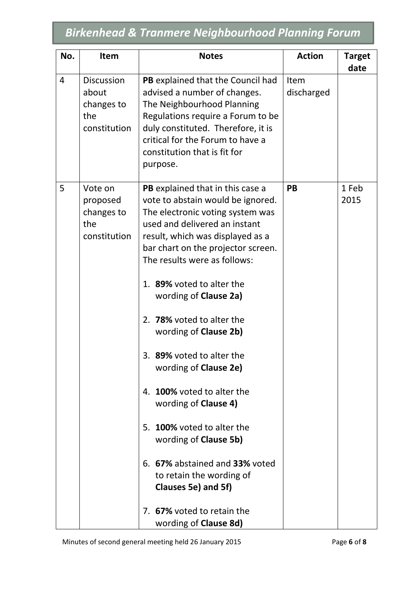| No.            | <b>Item</b>                                                     | <b>Notes</b>                                                                                                                                                                                                                                                                                                                                                                                                                                                                                                                                                                                                                                                                                                    | <b>Action</b>      | <b>Target</b><br>date |
|----------------|-----------------------------------------------------------------|-----------------------------------------------------------------------------------------------------------------------------------------------------------------------------------------------------------------------------------------------------------------------------------------------------------------------------------------------------------------------------------------------------------------------------------------------------------------------------------------------------------------------------------------------------------------------------------------------------------------------------------------------------------------------------------------------------------------|--------------------|-----------------------|
| $\overline{4}$ | <b>Discussion</b><br>about<br>changes to<br>the<br>constitution | PB explained that the Council had<br>advised a number of changes.<br>The Neighbourhood Planning<br>Regulations require a Forum to be<br>duly constituted. Therefore, it is<br>critical for the Forum to have a<br>constitution that is fit for<br>purpose.                                                                                                                                                                                                                                                                                                                                                                                                                                                      | Item<br>discharged |                       |
| 5              | Vote on<br>proposed<br>changes to<br>the<br>constitution        | PB explained that in this case a<br>vote to abstain would be ignored.<br>The electronic voting system was<br>used and delivered an instant<br>result, which was displayed as a<br>bar chart on the projector screen.<br>The results were as follows:<br>1. 89% voted to alter the<br>wording of <b>Clause 2a)</b><br>2. 78% voted to alter the<br>wording of Clause 2b)<br>3. 89% voted to alter the<br>wording of <b>Clause 2e)</b><br><b>100%</b> voted to alter the<br>4.<br>wording of Clause 4)<br>5. 100% voted to alter the<br>wording of Clause 5b)<br>6. 67% abstained and 33% voted<br>to retain the wording of<br>Clauses 5e) and 5f)<br>7. 67% voted to retain the<br>wording of <b>Clause 8d</b> ) | <b>PB</b>          | 1 Feb<br>2015         |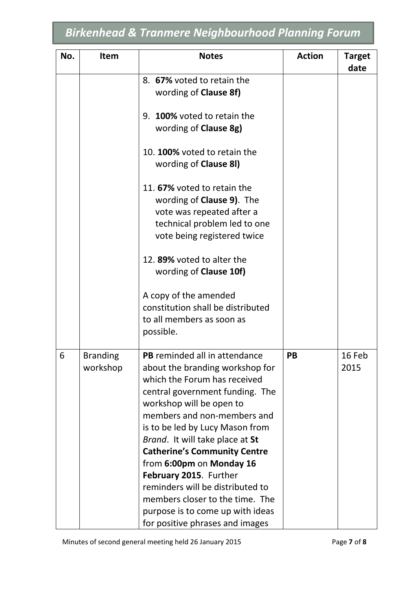| No. | Item                        | <b>Notes</b>                                                                                                                                                                                                                                                                                                                                                                                                                                                                                                           | <b>Action</b> | <b>Target</b><br>date |
|-----|-----------------------------|------------------------------------------------------------------------------------------------------------------------------------------------------------------------------------------------------------------------------------------------------------------------------------------------------------------------------------------------------------------------------------------------------------------------------------------------------------------------------------------------------------------------|---------------|-----------------------|
|     |                             | 8. 67% voted to retain the<br>wording of <b>Clause 8f)</b>                                                                                                                                                                                                                                                                                                                                                                                                                                                             |               |                       |
|     |                             | 9. 100% voted to retain the<br>wording of <b>Clause 8g)</b>                                                                                                                                                                                                                                                                                                                                                                                                                                                            |               |                       |
|     |                             | 10. 100% voted to retain the<br>wording of Clause 81)                                                                                                                                                                                                                                                                                                                                                                                                                                                                  |               |                       |
|     |                             | 11. 67% voted to retain the<br>wording of <b>Clause 9)</b> . The<br>vote was repeated after a<br>technical problem led to one<br>vote being registered twice<br>12.89% voted to alter the<br>wording of <b>Clause 10f</b> )                                                                                                                                                                                                                                                                                            |               |                       |
|     |                             | A copy of the amended<br>constitution shall be distributed<br>to all members as soon as<br>possible.                                                                                                                                                                                                                                                                                                                                                                                                                   |               |                       |
| 6   | <b>Branding</b><br>workshop | <b>PB</b> reminded all in attendance<br>about the branding workshop for<br>which the Forum has received<br>central government funding. The<br>workshop will be open to<br>members and non-members and<br>is to be led by Lucy Mason from<br>Brand. It will take place at St<br><b>Catherine's Community Centre</b><br>from 6:00pm on Monday 16<br>February 2015. Further<br>reminders will be distributed to<br>members closer to the time. The<br>purpose is to come up with ideas<br>for positive phrases and images | <b>PB</b>     | 16 Feb<br>2015        |